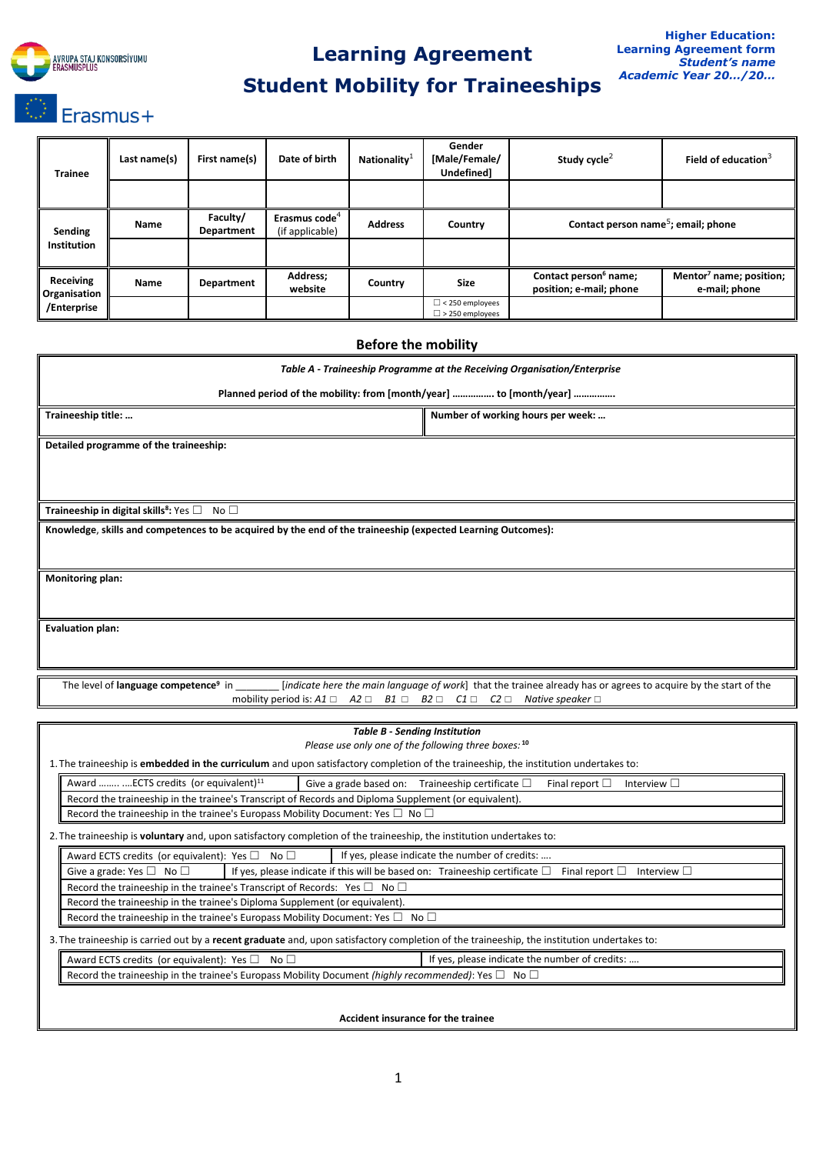

## **Learning Agreement**

# **Student Mobility for Traineeships**

| <b>Trainee</b>                                  | Last name(s) | First name(s)          | Date of birth                                | Nationality <sup>1</sup> | Gender<br>[Male/Female/<br>Undefined]            | Study cycle <sup>2</sup>                                     | Field of education $3$                               |  |
|-------------------------------------------------|--------------|------------------------|----------------------------------------------|--------------------------|--------------------------------------------------|--------------------------------------------------------------|------------------------------------------------------|--|
|                                                 |              |                        |                                              |                          |                                                  |                                                              |                                                      |  |
| Sending<br>Institution                          | Name         | Faculty/<br>Department | Erasmus code <sup>4</sup><br>(if applicable) | <b>Address</b>           | Country                                          | Contact person name <sup>5</sup> ; email; phone              |                                                      |  |
|                                                 |              |                        |                                              |                          |                                                  |                                                              |                                                      |  |
| <b>Receiving</b><br>Organisation<br>/Enterprise | Name         | Department             | Address;<br>website                          | Country                  | <b>Size</b>                                      | Contact person <sup>6</sup> name;<br>position; e-mail; phone | Mentor <sup>7</sup> name; position;<br>e-mail; phone |  |
|                                                 |              |                        |                                              |                          | $\Box$ < 250 employees<br>$\Box$ > 250 employees |                                                              |                                                      |  |

# **Before the mobility** *Table A - Traineeship Programme at the Receiving Organisation/Enterprise* **Planned period of the mobility: from [month/year] ……………. to [month/year] ……………. Traineeship title: … Number of working hours per week: … Number of working hours per week: … Detailed programme of the traineeship: Traineeship in digital skills<sup>8</sup> :** Yes ☐ No ☐ **Knowledge**, **skills and competences to be acquired by the end of the traineeship (expected Learning Outcomes): Monitoring plan: Evaluation plan:** The level of **language competence<sup>9</sup>** lindicate here the main language of work] that the trainee already has or agrees to acquire by the start of the mobility period is: *A1* ☐ *A2* ☐ *B1* ☐ *B2* ☐ *C1* ☐ *C2* ☐ *Native speaker* ☐ *Table B - Sending Institution Please use only one of the following three boxes:* **<sup>10</sup>** 1.The traineeship is **embedded in the curriculum** and upon satisfactory completion of the traineeship, the institution undertakes to: Award ........ ....ECTS credits (or equivalent)<sup>11</sup> Give a grade based on: Traineeship certificate  $\Box$  Final report  $\Box$  Interview  $\Box$ Record the traineeship in the trainee's Transcript of Records and Diploma Supplement (or equivalent).

Record the traineeship in the trainee's Europass Mobility Document: Yes  $\Box$  No  $\Box$ 

2.The traineeship is **voluntary** and, upon satisfactory completion of the traineeship, the institution undertakes to:

Award ECTS credits (or equivalent): Yes  $\Box$  No  $\Box$  If yes, please indicate the number of credits: Give a grade: Yes □ No □ If yes, please indicate if this will be based on: Traineeship certificate □ Final report □ Interview □ Record the traineeship in the trainee's Transcript of Records: Yes  $\Box$  No  $\Box$ Record the traineeship in the trainee's Diploma Supplement (or equivalent). Record the traineeship in the trainee's Europass Mobility Document: Yes  $\square$  No  $\square$ 3.The traineeship is carried out by a **recent graduate** and, upon satisfactory completion of the traineeship, the institution undertakes to: Award ECTS credits (or equivalent): Yes □ No □ If yes, please indicate the number of credits: ...

Record the traineeship in the trainee's Europass Mobility Document *(highly recommended)*: Yes □ No □

**Accident insurance for the trainee**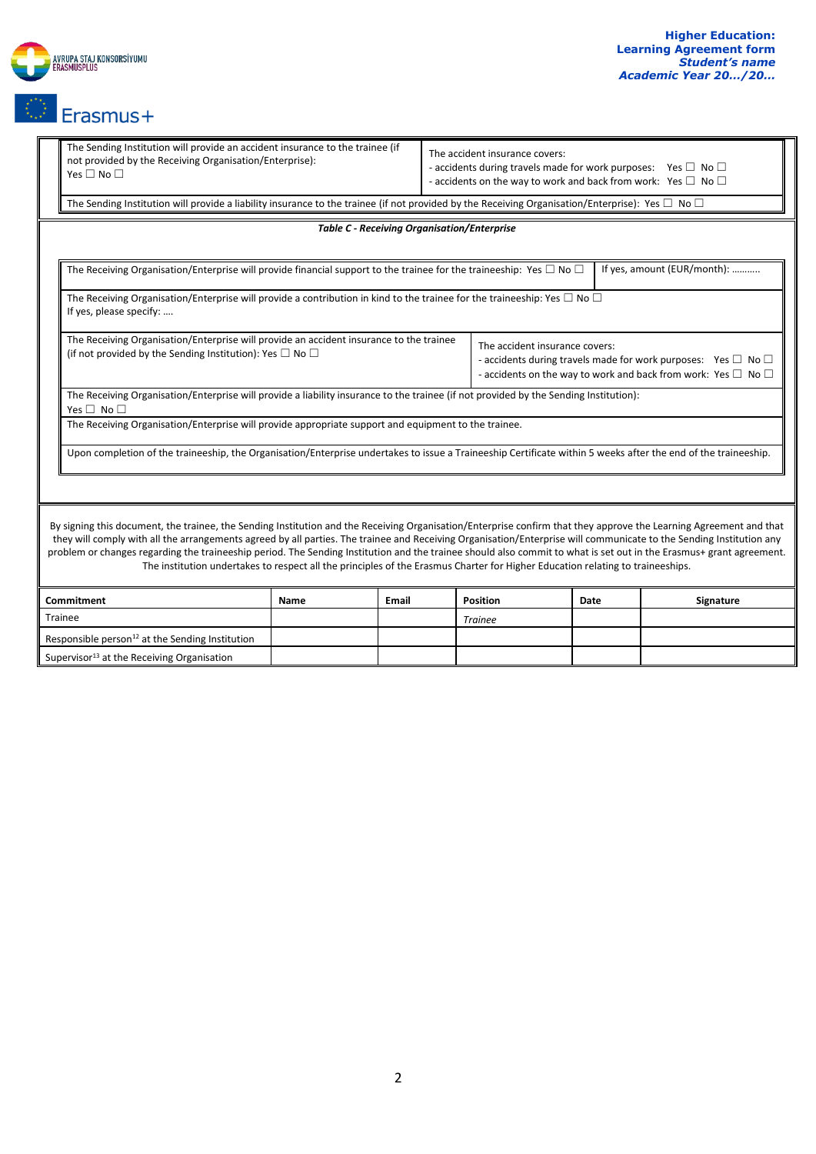

|                                                                                                                                                               | The Sending Institution will provide an accident insurance to the trainee (if<br>not provided by the Receiving Organisation/Enterprise):<br>Yes $\square$ No $\square$                                                                                                                                                                                                                                                                                                                                                                                                                                                                             |                                                                                                                                                                |                                                    | The accident insurance covers:<br>- accidents during travels made for work purposes: Yes $\square$ No $\square$<br>- accidents on the way to work and back from work: Yes $\square$ No $\square$ |  |  |  |  |  |
|---------------------------------------------------------------------------------------------------------------------------------------------------------------|----------------------------------------------------------------------------------------------------------------------------------------------------------------------------------------------------------------------------------------------------------------------------------------------------------------------------------------------------------------------------------------------------------------------------------------------------------------------------------------------------------------------------------------------------------------------------------------------------------------------------------------------------|----------------------------------------------------------------------------------------------------------------------------------------------------------------|----------------------------------------------------|--------------------------------------------------------------------------------------------------------------------------------------------------------------------------------------------------|--|--|--|--|--|
| The Sending Institution will provide a liability insurance to the trainee (if not provided by the Receiving Organisation/Enterprise): Yes $\Box$ No $\Box$    |                                                                                                                                                                                                                                                                                                                                                                                                                                                                                                                                                                                                                                                    |                                                                                                                                                                |                                                    |                                                                                                                                                                                                  |  |  |  |  |  |
|                                                                                                                                                               |                                                                                                                                                                                                                                                                                                                                                                                                                                                                                                                                                                                                                                                    |                                                                                                                                                                | <b>Table C - Receiving Organisation/Enterprise</b> |                                                                                                                                                                                                  |  |  |  |  |  |
|                                                                                                                                                               |                                                                                                                                                                                                                                                                                                                                                                                                                                                                                                                                                                                                                                                    |                                                                                                                                                                |                                                    |                                                                                                                                                                                                  |  |  |  |  |  |
|                                                                                                                                                               | If yes, amount (EUR/month):<br>The Receiving Organisation/Enterprise will provide financial support to the trainee for the traineeship: Yes $\Box$ No $\Box$                                                                                                                                                                                                                                                                                                                                                                                                                                                                                       |                                                                                                                                                                |                                                    |                                                                                                                                                                                                  |  |  |  |  |  |
|                                                                                                                                                               | The Receiving Organisation/Enterprise will provide a contribution in kind to the trainee for the traineeship: Yes $\Box$ No $\Box$<br>If yes, please specify:                                                                                                                                                                                                                                                                                                                                                                                                                                                                                      |                                                                                                                                                                |                                                    |                                                                                                                                                                                                  |  |  |  |  |  |
| The Receiving Organisation/Enterprise will provide an accident insurance to the trainee<br>(if not provided by the Sending Institution): Yes $\Box$ No $\Box$ |                                                                                                                                                                                                                                                                                                                                                                                                                                                                                                                                                                                                                                                    |                                                                                                                                                                |                                                    | The accident insurance covers:<br>- accidents during travels made for work purposes: Yes $\square$ No $\square$<br>- accidents on the way to work and back from work: Yes $\square$ No $\square$ |  |  |  |  |  |
|                                                                                                                                                               | The Receiving Organisation/Enterprise will provide a liability insurance to the trainee (if not provided by the Sending Institution):<br>Yes $\square$ No $\square$                                                                                                                                                                                                                                                                                                                                                                                                                                                                                |                                                                                                                                                                |                                                    |                                                                                                                                                                                                  |  |  |  |  |  |
|                                                                                                                                                               | The Receiving Organisation/Enterprise will provide appropriate support and equipment to the trainee.                                                                                                                                                                                                                                                                                                                                                                                                                                                                                                                                               |                                                                                                                                                                |                                                    |                                                                                                                                                                                                  |  |  |  |  |  |
|                                                                                                                                                               |                                                                                                                                                                                                                                                                                                                                                                                                                                                                                                                                                                                                                                                    | Upon completion of the traineeship, the Organisation/Enterprise undertakes to issue a Traineeship Certificate within 5 weeks after the end of the traineeship. |                                                    |                                                                                                                                                                                                  |  |  |  |  |  |
|                                                                                                                                                               |                                                                                                                                                                                                                                                                                                                                                                                                                                                                                                                                                                                                                                                    |                                                                                                                                                                |                                                    |                                                                                                                                                                                                  |  |  |  |  |  |
|                                                                                                                                                               | By signing this document, the trainee, the Sending Institution and the Receiving Organisation/Enterprise confirm that they approve the Learning Agreement and that<br>they will comply with all the arrangements agreed by all parties. The trainee and Receiving Organisation/Enterprise will communicate to the Sending Institution any<br>problem or changes regarding the traineeship period. The Sending Institution and the trainee should also commit to what is set out in the Erasmus+ grant agreement.<br>The institution undertakes to respect all the principles of the Erasmus Charter for Higher Education relating to traineeships. |                                                                                                                                                                |                                                    |                                                                                                                                                                                                  |  |  |  |  |  |
|                                                                                                                                                               |                                                                                                                                                                                                                                                                                                                                                                                                                                                                                                                                                                                                                                                    |                                                                                                                                                                |                                                    |                                                                                                                                                                                                  |  |  |  |  |  |

| Commitment                                             | <b>Name</b> | Email | Position       | Date | <b>Signature</b> |
|--------------------------------------------------------|-------------|-------|----------------|------|------------------|
| Trainee                                                |             |       | <b>Trainee</b> |      |                  |
| Responsible person $^{12}$ at the Sending Institution  |             |       |                |      |                  |
| Supervisor <sup>13</sup> at the Receiving Organisation |             |       |                |      |                  |